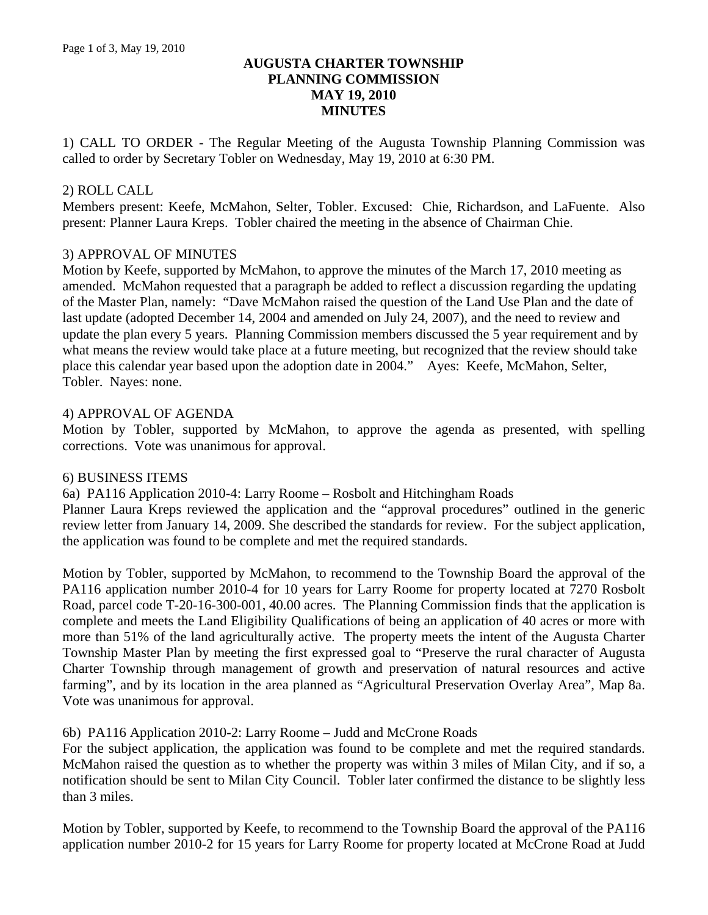# **AUGUSTA CHARTER TOWNSHIP PLANNING COMMISSION MAY 19, 2010 MINUTES**

1) CALL TO ORDER - The Regular Meeting of the Augusta Township Planning Commission was called to order by Secretary Tobler on Wednesday, May 19, 2010 at 6:30 PM.

## 2) ROLL CALL

Members present: Keefe, McMahon, Selter, Tobler. Excused: Chie, Richardson, and LaFuente. Also present: Planner Laura Kreps. Tobler chaired the meeting in the absence of Chairman Chie.

## 3) APPROVAL OF MINUTES

Motion by Keefe, supported by McMahon, to approve the minutes of the March 17, 2010 meeting as amended. McMahon requested that a paragraph be added to reflect a discussion regarding the updating of the Master Plan, namely: "Dave McMahon raised the question of the Land Use Plan and the date of last update (adopted December 14, 2004 and amended on July 24, 2007), and the need to review and update the plan every 5 years. Planning Commission members discussed the 5 year requirement and by what means the review would take place at a future meeting, but recognized that the review should take place this calendar year based upon the adoption date in 2004." Ayes: Keefe, McMahon, Selter, Tobler. Nayes: none.

## 4) APPROVAL OF AGENDA

Motion by Tobler, supported by McMahon, to approve the agenda as presented, with spelling corrections. Vote was unanimous for approval.

#### 6) BUSINESS ITEMS

6a) PA116 Application 2010-4: Larry Roome – Rosbolt and Hitchingham Roads

Planner Laura Kreps reviewed the application and the "approval procedures" outlined in the generic review letter from January 14, 2009. She described the standards for review. For the subject application, the application was found to be complete and met the required standards.

Motion by Tobler, supported by McMahon, to recommend to the Township Board the approval of the PA116 application number 2010-4 for 10 years for Larry Roome for property located at 7270 Rosbolt Road, parcel code T-20-16-300-001, 40.00 acres. The Planning Commission finds that the application is complete and meets the Land Eligibility Qualifications of being an application of 40 acres or more with more than 51% of the land agriculturally active. The property meets the intent of the Augusta Charter Township Master Plan by meeting the first expressed goal to "Preserve the rural character of Augusta Charter Township through management of growth and preservation of natural resources and active farming", and by its location in the area planned as "Agricultural Preservation Overlay Area", Map 8a. Vote was unanimous for approval.

#### 6b) PA116 Application 2010-2: Larry Roome – Judd and McCrone Roads

For the subject application, the application was found to be complete and met the required standards. McMahon raised the question as to whether the property was within 3 miles of Milan City, and if so, a notification should be sent to Milan City Council. Tobler later confirmed the distance to be slightly less than 3 miles.

Motion by Tobler, supported by Keefe, to recommend to the Township Board the approval of the PA116 application number 2010-2 for 15 years for Larry Roome for property located at McCrone Road at Judd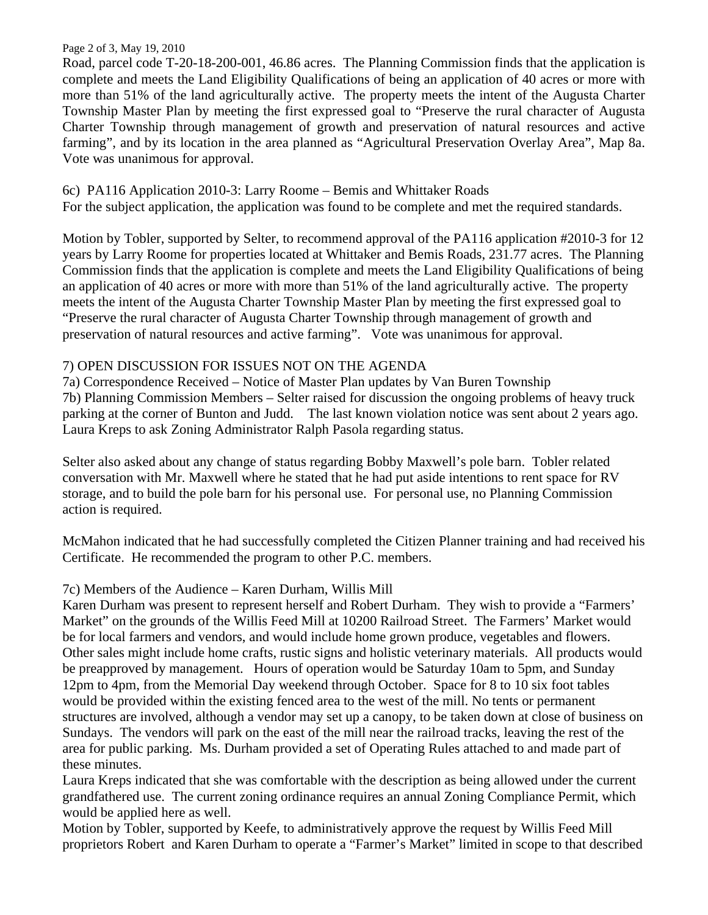#### Page 2 of 3, May 19, 2010

Road, parcel code T-20-18-200-001, 46.86 acres. The Planning Commission finds that the application is complete and meets the Land Eligibility Qualifications of being an application of 40 acres or more with more than 51% of the land agriculturally active. The property meets the intent of the Augusta Charter Township Master Plan by meeting the first expressed goal to "Preserve the rural character of Augusta Charter Township through management of growth and preservation of natural resources and active farming", and by its location in the area planned as "Agricultural Preservation Overlay Area", Map 8a. Vote was unanimous for approval.

# 6c) PA116 Application 2010-3: Larry Roome – Bemis and Whittaker Roads

For the subject application, the application was found to be complete and met the required standards.

Motion by Tobler, supported by Selter, to recommend approval of the PA116 application #2010-3 for 12 years by Larry Roome for properties located at Whittaker and Bemis Roads, 231.77 acres. The Planning Commission finds that the application is complete and meets the Land Eligibility Qualifications of being an application of 40 acres or more with more than 51% of the land agriculturally active. The property meets the intent of the Augusta Charter Township Master Plan by meeting the first expressed goal to "Preserve the rural character of Augusta Charter Township through management of growth and preservation of natural resources and active farming". Vote was unanimous for approval.

# 7) OPEN DISCUSSION FOR ISSUES NOT ON THE AGENDA

7a) Correspondence Received – Notice of Master Plan updates by Van Buren Township 7b) Planning Commission Members – Selter raised for discussion the ongoing problems of heavy truck parking at the corner of Bunton and Judd. The last known violation notice was sent about 2 years ago. Laura Kreps to ask Zoning Administrator Ralph Pasola regarding status.

Selter also asked about any change of status regarding Bobby Maxwell's pole barn. Tobler related conversation with Mr. Maxwell where he stated that he had put aside intentions to rent space for RV storage, and to build the pole barn for his personal use. For personal use, no Planning Commission action is required.

McMahon indicated that he had successfully completed the Citizen Planner training and had received his Certificate. He recommended the program to other P.C. members.

# 7c) Members of the Audience – Karen Durham, Willis Mill

Karen Durham was present to represent herself and Robert Durham. They wish to provide a "Farmers' Market" on the grounds of the Willis Feed Mill at 10200 Railroad Street. The Farmers' Market would be for local farmers and vendors, and would include home grown produce, vegetables and flowers. Other sales might include home crafts, rustic signs and holistic veterinary materials. All products would be preapproved by management. Hours of operation would be Saturday 10am to 5pm, and Sunday 12pm to 4pm, from the Memorial Day weekend through October. Space for 8 to 10 six foot tables would be provided within the existing fenced area to the west of the mill. No tents or permanent structures are involved, although a vendor may set up a canopy, to be taken down at close of business on Sundays. The vendors will park on the east of the mill near the railroad tracks, leaving the rest of the area for public parking. Ms. Durham provided a set of Operating Rules attached to and made part of these minutes.

Laura Kreps indicated that she was comfortable with the description as being allowed under the current grandfathered use. The current zoning ordinance requires an annual Zoning Compliance Permit, which would be applied here as well.

Motion by Tobler, supported by Keefe, to administratively approve the request by Willis Feed Mill proprietors Robert and Karen Durham to operate a "Farmer's Market" limited in scope to that described